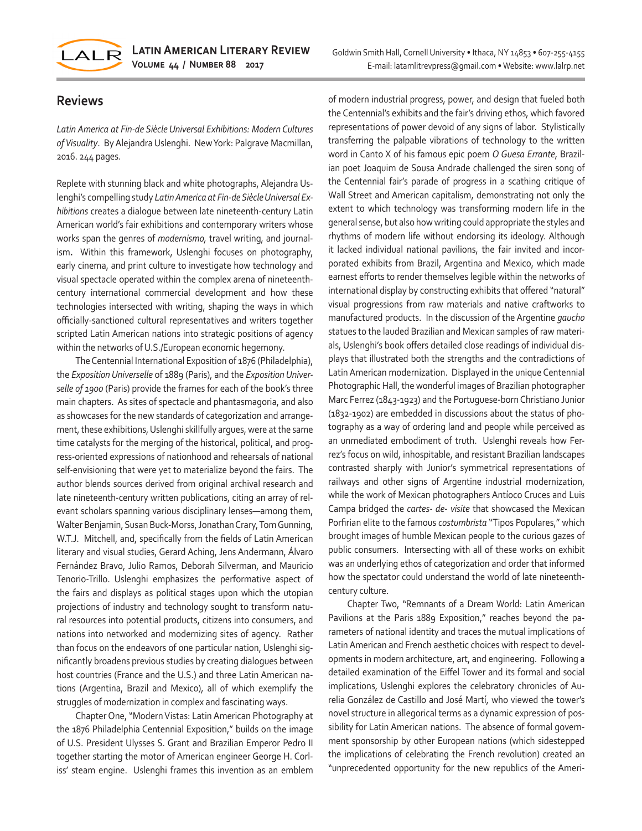

## **Reviews**

*Latin America at Fin-de Siècle Universal Exhibitions: Modern Cultures of Visuality*. By Alejandra Uslenghi. New York: Palgrave Macmillan, 2016. 244 pages.

Replete with stunning black and white photographs, Alejandra Uslenghi's compelling study *Latin America at Fin-de Siècle Universal Exhibitions* creates a dialogue between late nineteenth-century Latin American world's fair exhibitions and contemporary writers whose works span the genres of *modernismo,* travel writing, and journalism**.** Within this framework, Uslenghi focuses on photography, early cinema, and print culture to investigate how technology and visual spectacle operated within the complex arena of nineteenthcentury international commercial development and how these technologies intersected with writing, shaping the ways in which officially-sanctioned cultural representatives and writers together scripted Latin American nations into strategic positions of agency within the networks of U.S./European economic hegemony.

The Centennial International Exposition of 1876 (Philadelphia), the *Exposition Universelle* of 1889 (Paris), and the *Exposition Universelle of 1900* (Paris) provide the frames for each of the book's three main chapters. As sites of spectacle and phantasmagoria, and also as showcases for the new standards of categorization and arrangement, these exhibitions, Uslenghi skillfully argues, were at the same time catalysts for the merging of the historical, political, and progress-oriented expressions of nationhood and rehearsals of national self-envisioning that were yet to materialize beyond the fairs. The author blends sources derived from original archival research and late nineteenth-century written publications, citing an array of relevant scholars spanning various disciplinary lenses—among them, Walter Benjamin, Susan Buck-Morss, Jonathan Crary, Tom Gunning, W.T.J. Mitchell, and, specifically from the fields of Latin American literary and visual studies, Gerard Aching, Jens Andermann, Álvaro Fernández Bravo, Julio Ramos, Deborah Silverman, and Mauricio Tenorio-Trillo. Uslenghi emphasizes the performative aspect of the fairs and displays as political stages upon which the utopian projections of industry and technology sought to transform natural resources into potential products, citizens into consumers, and nations into networked and modernizing sites of agency. Rather than focus on the endeavors of one particular nation, Uslenghi significantly broadens previous studies by creating dialogues between host countries (France and the U.S.) and three Latin American nations (Argentina, Brazil and Mexico), all of which exemplify the struggles of modernization in complex and fascinating ways.

Chapter One, "Modern Vistas: Latin American Photography at the 1876 Philadelphia Centennial Exposition," builds on the image of U.S. President Ulysses S. Grant and Brazilian Emperor Pedro II together starting the motor of American engineer George H. Corliss' steam engine. Uslenghi frames this invention as an emblem

of modern industrial progress, power, and design that fueled both the Centennial's exhibits and the fair's driving ethos, which favored representations of power devoid of any signs of labor. Stylistically transferring the palpable vibrations of technology to the written word in Canto X of his famous epic poem *O Guesa Errante*, Brazilian poet Joaquim de Sousa Andrade challenged the siren song of the Centennial fair's parade of progress in a scathing critique of Wall Street and American capitalism, demonstrating not only the extent to which technology was transforming modern life in the general sense, but also how writing could appropriate the styles and rhythms of modern life without endorsing its ideology. Although it lacked individual national pavilions, the fair invited and incorporated exhibits from Brazil, Argentina and Mexico, which made earnest efforts to render themselves legible within the networks of international display by constructing exhibits that offered "natural" visual progressions from raw materials and native craftworks to manufactured products. In the discussion of the Argentine *gaucho* statues to the lauded Brazilian and Mexican samples of raw materials, Uslenghi's book offers detailed close readings of individual displays that illustrated both the strengths and the contradictions of Latin American modernization. Displayed in the unique Centennial Photographic Hall, the wonderful images of Brazilian photographer Marc Ferrez (1843-1923) and the Portuguese-born Christiano Junior (1832-1902) are embedded in discussions about the status of photography as a way of ordering land and people while perceived as an unmediated embodiment of truth. Uslenghi reveals how Ferrez's focus on wild, inhospitable, and resistant Brazilian landscapes contrasted sharply with Junior's symmetrical representations of railways and other signs of Argentine industrial modernization, while the work of Mexican photographers Antíoco Cruces and Luis Campa bridged the *cartes- de- visite* that showcased the Mexican Porfirian elite to the famous *costumbrista* "Tipos Populares," which brought images of humble Mexican people to the curious gazes of public consumers. Intersecting with all of these works on exhibit was an underlying ethos of categorization and order that informed how the spectator could understand the world of late nineteenthcentury culture.

Chapter Two, "Remnants of a Dream World: Latin American Pavilions at the Paris 1889 Exposition," reaches beyond the parameters of national identity and traces the mutual implications of Latin American and French aesthetic choices with respect to developments in modern architecture, art, and engineering. Following a detailed examination of the Eiffel Tower and its formal and social implications, Uslenghi explores the celebratory chronicles of Aurelia González de Castillo and José Martí, who viewed the tower's novel structure in allegorical terms as a dynamic expression of possibility for Latin American nations. The absence of formal government sponsorship by other European nations (which sidestepped the implications of celebrating the French revolution) created an "unprecedented opportunity for the new republics of the Ameri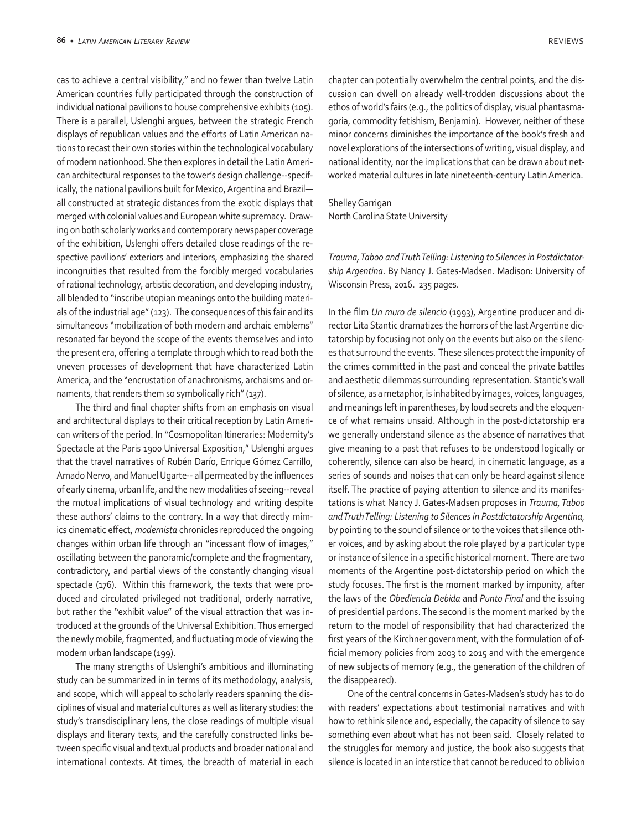cas to achieve a central visibility," and no fewer than twelve Latin American countries fully participated through the construction of individual national pavilions to house comprehensive exhibits (105). There is a parallel, Uslenghi argues, between the strategic French displays of republican values and the efforts of Latin American nations to recast their own stories within the technological vocabulary of modern nationhood. She then explores in detail the Latin American architectural responses to the tower's design challenge--specifically, the national pavilions built for Mexico, Argentina and Brazil all constructed at strategic distances from the exotic displays that merged with colonial values and European white supremacy. Drawing on both scholarly works and contemporary newspaper coverage of the exhibition, Uslenghi offers detailed close readings of the respective pavilions' exteriors and interiors, emphasizing the shared incongruities that resulted from the forcibly merged vocabularies of rational technology, artistic decoration, and developing industry, all blended to "inscribe utopian meanings onto the building materials of the industrial age" (123). The consequences of this fair and its simultaneous "mobilization of both modern and archaic emblems" resonated far beyond the scope of the events themselves and into the present era, offering a template through which to read both the uneven processes of development that have characterized Latin America, and the "encrustation of anachronisms, archaisms and ornaments, that renders them so symbolically rich" (137).

The third and final chapter shifts from an emphasis on visual and architectural displays to their critical reception by Latin American writers of the period. In "Cosmopolitan Itineraries: Modernity's Spectacle at the Paris 1900 Universal Exposition," Uslenghi argues that the travel narratives of Rubén Darío, Enrique Gómez Carrillo, Amado Nervo, and Manuel Ugarte-- all permeated by the influences of early cinema, urban life, and the new modalities of seeing--reveal the mutual implications of visual technology and writing despite these authors' claims to the contrary. In a way that directly mimics cinematic effect, *modernista* chronicles reproduced the ongoing changes within urban life through an "incessant flow of images," oscillating between the panoramic/complete and the fragmentary, contradictory, and partial views of the constantly changing visual spectacle (176). Within this framework, the texts that were produced and circulated privileged not traditional, orderly narrative, but rather the "exhibit value" of the visual attraction that was introduced at the grounds of the Universal Exhibition. Thus emerged the newly mobile, fragmented, and fluctuating mode of viewing the modern urban landscape (199).

The many strengths of Uslenghi's ambitious and illuminating study can be summarized in in terms of its methodology, analysis, and scope, which will appeal to scholarly readers spanning the disciplines of visual and material cultures as well as literary studies: the study's transdisciplinary lens, the close readings of multiple visual displays and literary texts, and the carefully constructed links between specific visual and textual products and broader national and international contexts. At times, the breadth of material in each

chapter can potentially overwhelm the central points, and the discussion can dwell on already well-trodden discussions about the ethos of world's fairs (e.g., the politics of display, visual phantasmagoria, commodity fetishism, Benjamin). However, neither of these minor concerns diminishes the importance of the book's fresh and novel explorations of the intersections of writing, visual display, and national identity, nor the implications that can be drawn about networked material cultures in late nineteenth-century Latin America.

Shelley Garrigan North Carolina State University

*Trauma, Taboo and Truth Telling: Listening to Silences in Postdictatorship Argentina*. By Nancy J. Gates-Madsen. Madison: University of Wisconsin Press, 2016. 235 pages.

In the film *Un muro de silencio* (1993), Argentine producer and director Lita Stantic dramatizes the horrors of the last Argentine dictatorship by focusing not only on the events but also on the silences that surround the events. These silences protect the impunity of the crimes committed in the past and conceal the private battles and aesthetic dilemmas surrounding representation. Stantic's wall of silence, as a metaphor, is inhabited by images, voices, languages, and meanings left in parentheses, by loud secrets and the eloquence of what remains unsaid. Although in the post-dictatorship era we generally understand silence as the absence of narratives that give meaning to a past that refuses to be understood logically or coherently, silence can also be heard, in cinematic language, as a series of sounds and noises that can only be heard against silence itself. The practice of paying attention to silence and its manifestations is what Nancy J. Gates-Madsen proposes in *Trauma, Taboo and Truth Telling: Listening to Silences in Postdictatorship Argentina,* by pointing to the sound of silence or to the voices that silence other voices, and by asking about the role played by a particular type or instance of silence in a specific historical moment. There are two moments of the Argentine post-dictatorship period on which the study focuses. The first is the moment marked by impunity, after the laws of the *Obediencia Debida* and *Punto Final* and the issuing of presidential pardons. The second is the moment marked by the return to the model of responsibility that had characterized the first years of the Kirchner government, with the formulation of official memory policies from 2003 to 2015 and with the emergence of new subjects of memory (e.g., the generation of the children of the disappeared).

One of the central concerns in Gates-Madsen's study has to do with readers' expectations about testimonial narratives and with how to rethink silence and, especially, the capacity of silence to say something even about what has not been said. Closely related to the struggles for memory and justice, the book also suggests that silence is located in an interstice that cannot be reduced to oblivion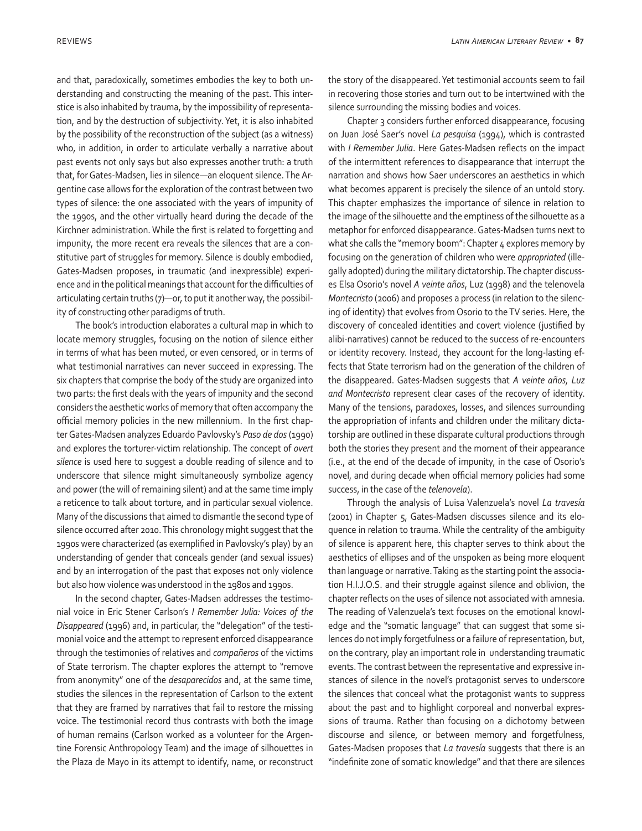and that, paradoxically, sometimes embodies the key to both understanding and constructing the meaning of the past. This interstice is also inhabited by trauma, by the impossibility of representation, and by the destruction of subjectivity. Yet, it is also inhabited by the possibility of the reconstruction of the subject (as a witness) who, in addition, in order to articulate verbally a narrative about past events not only says but also expresses another truth: a truth that, for Gates-Madsen, lies in silence—an eloquent silence. The Argentine case allows for the exploration of the contrast between two types of silence: the one associated with the years of impunity of the 1990s, and the other virtually heard during the decade of the Kirchner administration. While the first is related to forgetting and impunity, the more recent era reveals the silences that are a constitutive part of struggles for memory. Silence is doubly embodied, Gates-Madsen proposes, in traumatic (and inexpressible) experience and in the political meanings that account for the difficulties of articulating certain truths (7)—or, to put it another way, the possibility of constructing other paradigms of truth.

The book's introduction elaborates a cultural map in which to locate memory struggles, focusing on the notion of silence either in terms of what has been muted, or even censored, or in terms of what testimonial narratives can never succeed in expressing. The six chapters that comprise the body of the study are organized into two parts: the first deals with the years of impunity and the second considers the aesthetic works of memory that often accompany the official memory policies in the new millennium. In the first chapter Gates-Madsen analyzes Eduardo Pavlovsky's *Paso de dos* (1990) and explores the torturer-victim relationship. The concept of *overt silence* is used here to suggest a double reading of silence and to underscore that silence might simultaneously symbolize agency and power (the will of remaining silent) and at the same time imply a reticence to talk about torture, and in particular sexual violence. Many of the discussions that aimed to dismantle the second type of silence occurred after 2010. This chronology might suggest that the 1990s were characterized (as exemplified in Pavlovsky's play) by an understanding of gender that conceals gender (and sexual issues) and by an interrogation of the past that exposes not only violence but also how violence was understood in the 1980s and 1990s.

In the second chapter, Gates-Madsen addresses the testimonial voice in Eric Stener Carlson's *I Remember Julia: Voices of the Disappeared* (1996) and, in particular, the "delegation" of the testimonial voice and the attempt to represent enforced disappearance through the testimonies of relatives and *compañeros* of the victims of State terrorism. The chapter explores the attempt to "remove from anonymity" one of the *desaparecidos* and, at the same time, studies the silences in the representation of Carlson to the extent that they are framed by narratives that fail to restore the missing voice. The testimonial record thus contrasts with both the image of human remains (Carlson worked as a volunteer for the Argentine Forensic Anthropology Team) and the image of silhouettes in the Plaza de Mayo in its attempt to identify, name, or reconstruct

the story of the disappeared. Yet testimonial accounts seem to fail in recovering those stories and turn out to be intertwined with the silence surrounding the missing bodies and voices.

Chapter 3 considers further enforced disappearance, focusing on Juan José Saer's novel *La pesquisa* (1994), which is contrasted with *I Remember Julia*. Here Gates-Madsen reflects on the impact of the intermittent references to disappearance that interrupt the narration and shows how Saer underscores an aesthetics in which what becomes apparent is precisely the silence of an untold story. This chapter emphasizes the importance of silence in relation to the image of the silhouette and the emptiness of the silhouette as a metaphor for enforced disappearance. Gates-Madsen turns next to what she calls the "memory boom": Chapter 4 explores memory by focusing on the generation of children who were *appropriated* (illegally adopted) during the military dictatorship. The chapter discusses Elsa Osorio's novel *A veinte años*, Luz (1998) and the telenovela *Montecristo* (2006) and proposes a process (in relation to the silencing of identity) that evolves from Osorio to the TV series. Here, the discovery of concealed identities and covert violence (justified by alibi-narratives) cannot be reduced to the success of re-encounters or identity recovery. Instead, they account for the long-lasting effects that State terrorism had on the generation of the children of the disappeared. Gates-Madsen suggests that *A veinte años, Luz and Montecristo* represent clear cases of the recovery of identity. Many of the tensions, paradoxes, losses, and silences surrounding the appropriation of infants and children under the military dictatorship are outlined in these disparate cultural productions through both the stories they present and the moment of their appearance (i.e., at the end of the decade of impunity, in the case of Osorio's novel, and during decade when official memory policies had some success, in the case of the *telenovela*).

Through the analysis of Luisa Valenzuela's novel *La travesía*  (2001) in Chapter 5, Gates-Madsen discusses silence and its eloquence in relation to trauma. While the centrality of the ambiguity of silence is apparent here, this chapter serves to think about the aesthetics of ellipses and of the unspoken as being more eloquent than language or narrative. Taking as the starting point the association H.I.J.O.S. and their struggle against silence and oblivion, the chapter reflects on the uses of silence not associated with amnesia. The reading of Valenzuela's text focuses on the emotional knowledge and the "somatic language" that can suggest that some silences do not imply forgetfulness or a failure of representation, but, on the contrary, play an important role in understanding traumatic events. The contrast between the representative and expressive instances of silence in the novel's protagonist serves to underscore the silences that conceal what the protagonist wants to suppress about the past and to highlight corporeal and nonverbal expressions of trauma. Rather than focusing on a dichotomy between discourse and silence, or between memory and forgetfulness, Gates-Madsen proposes that *La travesía* suggests that there is an "indefinite zone of somatic knowledge" and that there are silences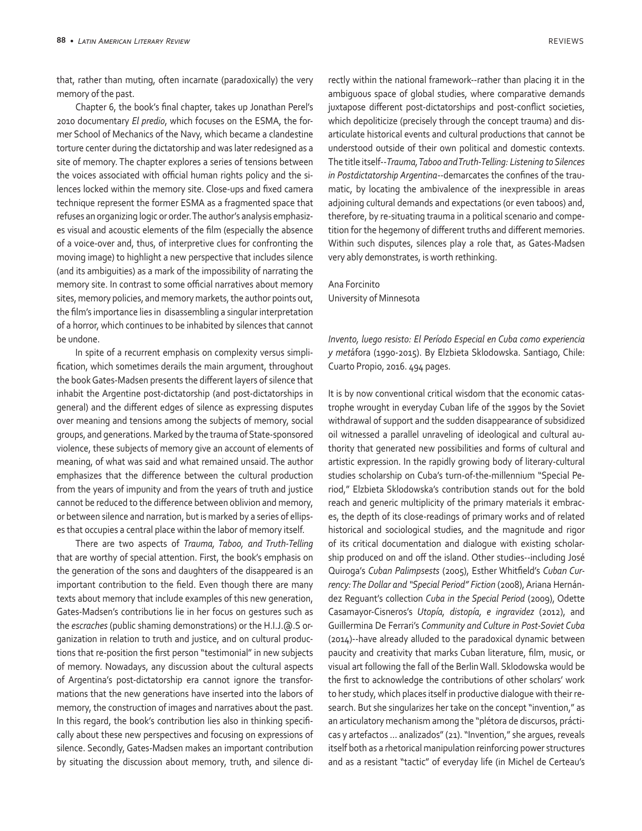that, rather than muting, often incarnate (paradoxically) the very memory of the past.

Chapter 6, the book's final chapter, takes up Jonathan Perel's 2010 documentary *El predio*, which focuses on the ESMA, the former School of Mechanics of the Navy, which became a clandestine torture center during the dictatorship and was later redesigned as a site of memory. The chapter explores a series of tensions between the voices associated with official human rights policy and the silences locked within the memory site. Close-ups and fixed camera technique represent the former ESMA as a fragmented space that refuses an organizing logic or order. The author's analysis emphasizes visual and acoustic elements of the film (especially the absence of a voice-over and, thus, of interpretive clues for confronting the moving image) to highlight a new perspective that includes silence (and its ambiguities) as a mark of the impossibility of narrating the memory site. In contrast to some official narratives about memory sites, memory policies, and memory markets, the author points out, the film's importance lies in disassembling a singular interpretation of a horror, which continues to be inhabited by silences that cannot be undone.

In spite of a recurrent emphasis on complexity versus simplification, which sometimes derails the main argument, throughout the book Gates-Madsen presents the different layers of silence that inhabit the Argentine post-dictatorship (and post-dictatorships in general) and the different edges of silence as expressing disputes over meaning and tensions among the subjects of memory, social groups, and generations. Marked by the trauma of State-sponsored violence, these subjects of memory give an account of elements of meaning, of what was said and what remained unsaid. The author emphasizes that the difference between the cultural production from the years of impunity and from the years of truth and justice cannot be reduced to the difference between oblivion and memory, or between silence and narration, but is marked by a series of ellipses that occupies a central place within the labor of memory itself.

There are two aspects of *Trauma, Taboo, and Truth-Telling*  that are worthy of special attention. First, the book's emphasis on the generation of the sons and daughters of the disappeared is an important contribution to the field. Even though there are many texts about memory that include examples of this new generation, Gates-Madsen's contributions lie in her focus on gestures such as the *escraches* (public shaming demonstrations) or the H.I.J.@.S organization in relation to truth and justice, and on cultural productions that re-position the first person "testimonial" in new subjects of memory. Nowadays, any discussion about the cultural aspects of Argentina's post-dictatorship era cannot ignore the transformations that the new generations have inserted into the labors of memory, the construction of images and narratives about the past. In this regard, the book's contribution lies also in thinking specifically about these new perspectives and focusing on expressions of silence. Secondly, Gates-Madsen makes an important contribution by situating the discussion about memory, truth, and silence directly within the national framework--rather than placing it in the ambiguous space of global studies, where comparative demands juxtapose different post-dictatorships and post-conflict societies, which depoliticize (precisely through the concept trauma) and disarticulate historical events and cultural productions that cannot be understood outside of their own political and domestic contexts. The title itself--*Trauma, Taboo and Truth-Telling: Listening to Silences in Postdictatorship Argentina*--demarcates the confines of the traumatic, by locating the ambivalence of the inexpressible in areas adjoining cultural demands and expectations (or even taboos) and, therefore, by re-situating trauma in a political scenario and competition for the hegemony of different truths and different memories. Within such disputes, silences play a role that, as Gates-Madsen very ably demonstrates, is worth rethinking.

## Ana Forcinito University of Minnesota

*Invento, luego resisto: El Período Especial en Cuba como experiencia y met*áfora (1990-2015). By Elzbieta Sklodowska. Santiago, Chile: Cuarto Propio, 2016. 494 pages.

It is by now conventional critical wisdom that the economic catastrophe wrought in everyday Cuban life of the 1990s by the Soviet withdrawal of support and the sudden disappearance of subsidized oil witnessed a parallel unraveling of ideological and cultural authority that generated new possibilities and forms of cultural and artistic expression. In the rapidly growing body of literary-cultural studies scholarship on Cuba's turn-of-the-millennium "Special Period," Elzbieta Sklodowska's contribution stands out for the bold reach and generic multiplicity of the primary materials it embraces, the depth of its close-readings of primary works and of related historical and sociological studies, and the magnitude and rigor of its critical documentation and dialogue with existing scholarship produced on and off the island. Other studies--including José Quiroga's *Cuban Palimpsests* (2005), Esther Whitfield's *Cuban Currency: The Dollar and "Special Period" Fiction* (2008), Ariana Hernández Reguant's collection *Cuba in the Special Period* (2009), Odette Casamayor-Cisneros's *Utopía, distopía, e ingravidez* (2012), and Guillermina De Ferrari's *Community and Culture in Post-Soviet Cuba* (2014)--have already alluded to the paradoxical dynamic between paucity and creativity that marks Cuban literature, film, music, or visual art following the fall of the Berlin Wall. Sklodowska would be the first to acknowledge the contributions of other scholars' work to her study, which places itself in productive dialogue with their research. But she singularizes her take on the concept "invention," as an articulatory mechanism among the "plétora de discursos, prácticas y artefactos … analizados" (21). "Invention," she argues, reveals itself both as a rhetorical manipulation reinforcing power structures and as a resistant "tactic" of everyday life (in Michel de Certeau's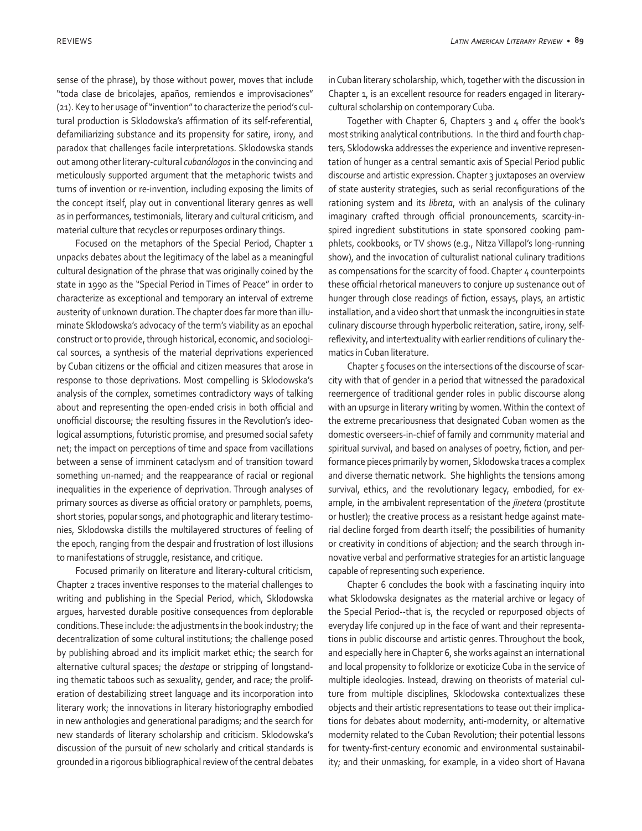sense of the phrase), by those without power, moves that include "toda clase de bricolajes, apaños, remiendos e improvisaciones" (21). Key to her usage of "invention" to characterize the period's cultural production is Sklodowska's affirmation of its self-referential, defamiliarizing substance and its propensity for satire, irony, and paradox that challenges facile interpretations. Sklodowska stands out among other literary-cultural *cubanólogos* in the convincing and meticulously supported argument that the metaphoric twists and turns of invention or re-invention, including exposing the limits of the concept itself, play out in conventional literary genres as well as in performances, testimonials, literary and cultural criticism, and material culture that recycles or repurposes ordinary things.

Focused on the metaphors of the Special Period, Chapter 1 unpacks debates about the legitimacy of the label as a meaningful cultural designation of the phrase that was originally coined by the state in 1990 as the "Special Period in Times of Peace" in order to characterize as exceptional and temporary an interval of extreme austerity of unknown duration. The chapter does far more than illuminate Sklodowska's advocacy of the term's viability as an epochal construct or to provide, through historical, economic, and sociological sources, a synthesis of the material deprivations experienced by Cuban citizens or the official and citizen measures that arose in response to those deprivations. Most compelling is Sklodowska's analysis of the complex, sometimes contradictory ways of talking about and representing the open-ended crisis in both official and unofficial discourse; the resulting fissures in the Revolution's ideological assumptions, futuristic promise, and presumed social safety net; the impact on perceptions of time and space from vacillations between a sense of imminent cataclysm and of transition toward something un-named; and the reappearance of racial or regional inequalities in the experience of deprivation. Through analyses of primary sources as diverse as official oratory or pamphlets, poems, short stories, popular songs, and photographic and literary testimonies, Sklodowska distills the multilayered structures of feeling of the epoch, ranging from the despair and frustration of lost illusions to manifestations of struggle, resistance, and critique.

Focused primarily on literature and literary-cultural criticism, Chapter 2 traces inventive responses to the material challenges to writing and publishing in the Special Period, which, Sklodowska argues, harvested durable positive consequences from deplorable conditions. These include: the adjustments in the book industry; the decentralization of some cultural institutions; the challenge posed by publishing abroad and its implicit market ethic; the search for alternative cultural spaces; the *destape* or stripping of longstanding thematic taboos such as sexuality, gender, and race; the proliferation of destabilizing street language and its incorporation into literary work; the innovations in literary historiography embodied in new anthologies and generational paradigms; and the search for new standards of literary scholarship and criticism. Sklodowska's discussion of the pursuit of new scholarly and critical standards is grounded in a rigorous bibliographical review of the central debates

in Cuban literary scholarship, which, together with the discussion in Chapter 1, is an excellent resource for readers engaged in literarycultural scholarship on contemporary Cuba.

Together with Chapter 6, Chapters 3 and 4 offer the book's most striking analytical contributions. In the third and fourth chapters, Sklodowska addresses the experience and inventive representation of hunger as a central semantic axis of Special Period public discourse and artistic expression. Chapter 3 juxtaposes an overview of state austerity strategies, such as serial reconfigurations of the rationing system and its *libreta*, with an analysis of the culinary imaginary crafted through official pronouncements, scarcity-inspired ingredient substitutions in state sponsored cooking pamphlets, cookbooks, or TV shows (e.g., Nitza Villapol's long-running show), and the invocation of culturalist national culinary traditions as compensations for the scarcity of food. Chapter 4 counterpoints these official rhetorical maneuvers to conjure up sustenance out of hunger through close readings of fiction, essays, plays, an artistic installation, and a video short that unmask the incongruities in state culinary discourse through hyperbolic reiteration, satire, irony, selfreflexivity, and intertextuality with earlier renditions of culinary thematics in Cuban literature.

Chapter 5 focuses on the intersections of the discourse of scarcity with that of gender in a period that witnessed the paradoxical reemergence of traditional gender roles in public discourse along with an upsurge in literary writing by women. Within the context of the extreme precariousness that designated Cuban women as the domestic overseers-in-chief of family and community material and spiritual survival, and based on analyses of poetry, fiction, and performance pieces primarily by women, Sklodowska traces a complex and diverse thematic network. She highlights the tensions among survival, ethics, and the revolutionary legacy, embodied, for example, in the ambivalent representation of the *jinetera* (prostitute or hustler); the creative process as a resistant hedge against material decline forged from dearth itself; the possibilities of humanity or creativity in conditions of abjection; and the search through innovative verbal and performative strategies for an artistic language capable of representing such experience.

Chapter 6 concludes the book with a fascinating inquiry into what Sklodowska designates as the material archive or legacy of the Special Period--that is, the recycled or repurposed objects of everyday life conjured up in the face of want and their representations in public discourse and artistic genres. Throughout the book, and especially here in Chapter 6, she works against an international and local propensity to folklorize or exoticize Cuba in the service of multiple ideologies. Instead, drawing on theorists of material culture from multiple disciplines, Sklodowska contextualizes these objects and their artistic representations to tease out their implications for debates about modernity, anti-modernity, or alternative modernity related to the Cuban Revolution; their potential lessons for twenty-first-century economic and environmental sustainability; and their unmasking, for example, in a video short of Havana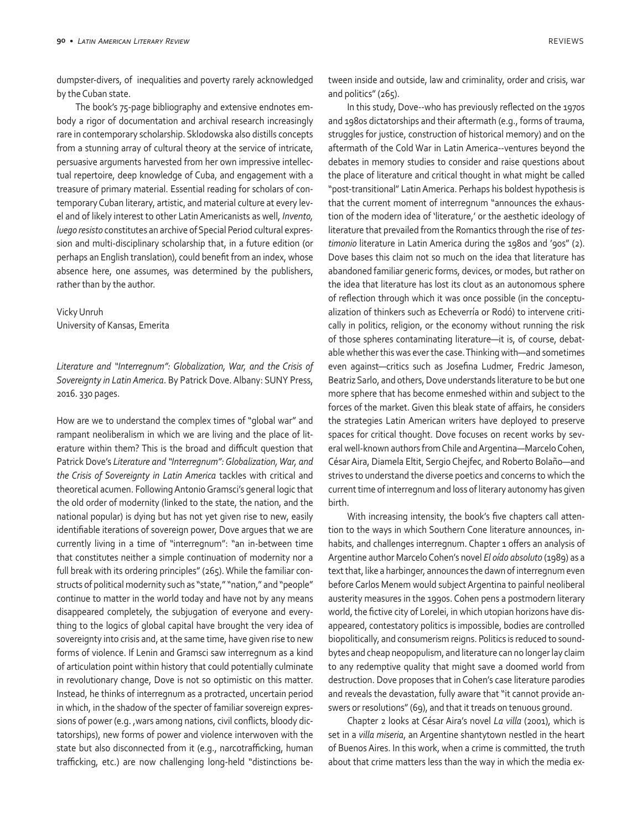dumpster-divers, of inequalities and poverty rarely acknowledged by the Cuban state.

The book's 75-page bibliography and extensive endnotes embody a rigor of documentation and archival research increasingly rare in contemporary scholarship. Sklodowska also distills concepts from a stunning array of cultural theory at the service of intricate, persuasive arguments harvested from her own impressive intellectual repertoire, deep knowledge of Cuba, and engagement with a treasure of primary material. Essential reading for scholars of contemporary Cuban literary, artistic, and material culture at every level and of likely interest to other Latin Americanists as well, *Invento, luego resisto* constitutes an archive of Special Period cultural expression and multi-disciplinary scholarship that, in a future edition (or perhaps an English translation), could benefit from an index, whose absence here, one assumes, was determined by the publishers, rather than by the author.

Vicky Unruh University of Kansas, Emerita

*Literature and "Interregnum": Globalization, War, and the Crisis of Sovereignty in Latin America*. By Patrick Dove. Albany: SUNY Press, 2016. 330 pages.

How are we to understand the complex times of "global war" and rampant neoliberalism in which we are living and the place of literature within them? This is the broad and difficult question that Patrick Dove's *Literature and "Interregnum": Globalization, War, and the Crisis of Sovereignty in Latin America* tackles with critical and theoretical acumen. Following Antonio Gramsci's general logic that the old order of modernity (linked to the state, the nation, and the national popular) is dying but has not yet given rise to new, easily identifiable iterations of sovereign power, Dove argues that we are currently living in a time of "interregnum": "an in-between time that constitutes neither a simple continuation of modernity nor a full break with its ordering principles" (265). While the familiar constructs of political modernity such as "state," "nation," and "people" continue to matter in the world today and have not by any means disappeared completely, the subjugation of everyone and everything to the logics of global capital have brought the very idea of sovereignty into crisis and, at the same time, have given rise to new forms of violence. If Lenin and Gramsci saw interregnum as a kind of articulation point within history that could potentially culminate in revolutionary change, Dove is not so optimistic on this matter. Instead, he thinks of interregnum as a protracted, uncertain period in which, in the shadow of the specter of familiar sovereign expressions of power (e.g. ,wars among nations, civil conflicts, bloody dictatorships), new forms of power and violence interwoven with the state but also disconnected from it (e.g., narcotrafficking, human trafficking, etc.) are now challenging long-held "distinctions between inside and outside, law and criminality, order and crisis, war and politics" (265).

In this study, Dove--who has previously reflected on the 1970s and 1980s dictatorships and their aftermath (e.g., forms of trauma, struggles for justice, construction of historical memory) and on the aftermath of the Cold War in Latin America--ventures beyond the debates in memory studies to consider and raise questions about the place of literature and critical thought in what might be called "post-transitional" Latin America. Perhaps his boldest hypothesis is that the current moment of interregnum "announces the exhaustion of the modern idea of 'literature,' or the aesthetic ideology of literature that prevailed from the Romantics through the rise of *testimonio* literature in Latin America during the 1980s and '90s" (2). Dove bases this claim not so much on the idea that literature has abandoned familiar generic forms, devices, or modes, but rather on the idea that literature has lost its clout as an autonomous sphere of reflection through which it was once possible (in the conceptualization of thinkers such as Echeverría or Rodó) to intervene critically in politics, religion, or the economy without running the risk of those spheres contaminating literature—it is, of course, debatable whether this was ever the case. Thinking with—and sometimes even against—critics such as Josefina Ludmer, Fredric Jameson, Beatriz Sarlo, and others, Dove understands literature to be but one more sphere that has become enmeshed within and subject to the forces of the market. Given this bleak state of affairs, he considers the strategies Latin American writers have deployed to preserve spaces for critical thought. Dove focuses on recent works by several well-known authors from Chile and Argentina—Marcelo Cohen, César Aira, Diamela Eltit, Sergio Chejfec, and Roberto Bolaño—and strives to understand the diverse poetics and concerns to which the current time of interregnum and loss of literary autonomy has given birth.

With increasing intensity, the book's five chapters call attention to the ways in which Southern Cone literature announces, inhabits, and challenges interregnum. Chapter 1 offers an analysis of Argentine author Marcelo Cohen's novel *El oído absoluto* (1989) as a text that, like a harbinger, announces the dawn of interregnum even before Carlos Menem would subject Argentina to painful neoliberal austerity measures in the 1990s. Cohen pens a postmodern literary world, the fictive city of Lorelei, in which utopian horizons have disappeared, contestatory politics is impossible, bodies are controlled biopolitically, and consumerism reigns. Politics is reduced to soundbytes and cheap neopopulism, and literature can no longer lay claim to any redemptive quality that might save a doomed world from destruction. Dove proposes that in Cohen's case literature parodies and reveals the devastation, fully aware that "it cannot provide answers or resolutions" (69), and that it treads on tenuous ground.

Chapter 2 looks at César Aira's novel *La villa* (2001), which is set in a *villa miseria*, an Argentine shantytown nestled in the heart of Buenos Aires. In this work, when a crime is committed, the truth about that crime matters less than the way in which the media ex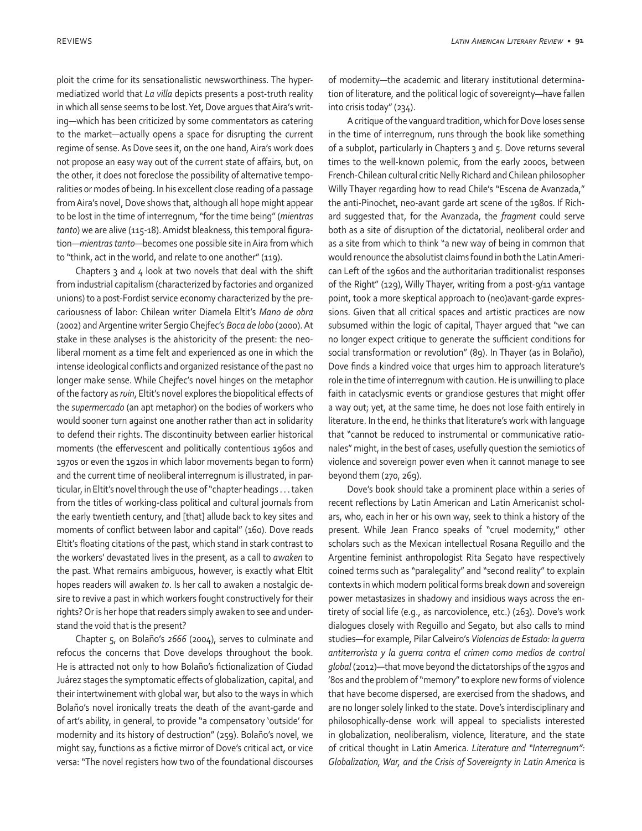ploit the crime for its sensationalistic newsworthiness. The hypermediatized world that *La villa* depicts presents a post-truth reality in which all sense seems to be lost. Yet, Dove argues that Aira's writing—which has been criticized by some commentators as catering to the market—actually opens a space for disrupting the current regime of sense. As Dove sees it, on the one hand, Aira's work does not propose an easy way out of the current state of affairs, but, on the other, it does not foreclose the possibility of alternative temporalities or modes of being. In his excellent close reading of a passage from Aira's novel, Dove shows that, although all hope might appear to be lost in the time of interregnum, "for the time being" (*mientras tanto*) we are alive (115-18). Amidst bleakness, this temporal figuration—*mientras tanto*—becomes one possible site in Aira from which to "think, act in the world, and relate to one another" (119).

Chapters  $3$  and  $4$  look at two novels that deal with the shift from industrial capitalism (characterized by factories and organized unions) to a post-Fordist service economy characterized by the precariousness of labor: Chilean writer Diamela Eltit's *Mano de obra* (2002) and Argentine writer Sergio Chejfec's *Boca de lobo* (2000). At stake in these analyses is the ahistoricity of the present: the neoliberal moment as a time felt and experienced as one in which the intense ideological conflicts and organized resistance of the past no longer make sense. While Chejfec's novel hinges on the metaphor of the factory as *ruin*, Eltit's novel explores the biopolitical effects of the *supermercado* (an apt metaphor) on the bodies of workers who would sooner turn against one another rather than act in solidarity to defend their rights. The discontinuity between earlier historical moments (the effervescent and politically contentious 1960s and 1970s or even the 1920s in which labor movements began to form) and the current time of neoliberal interregnum is illustrated, in particular, in Eltit's novel through the use of "chapter headings . . . taken from the titles of working-class political and cultural journals from the early twentieth century, and [that] allude back to key sites and moments of conflict between labor and capital" (160). Dove reads Eltit's floating citations of the past, which stand in stark contrast to the workers' devastated lives in the present, as a call to *awaken* to the past. What remains ambiguous, however, is exactly what Eltit hopes readers will awaken *to*. Is her call to awaken a nostalgic desire to revive a past in which workers fought constructively for their rights? Or is her hope that readers simply awaken to see and understand the void that is the present?

Chapter 5, on Bolaño's *2666* (2004), serves to culminate and refocus the concerns that Dove develops throughout the book. He is attracted not only to how Bolaño's fictionalization of Ciudad Juárez stages the symptomatic effects of globalization, capital, and their intertwinement with global war, but also to the ways in which Bolaño's novel ironically treats the death of the avant-garde and of art's ability, in general, to provide "a compensatory 'outside' for modernity and its history of destruction" (259). Bolaño's novel, we might say, functions as a fictive mirror of Dove's critical act, or vice versa: "The novel registers how two of the foundational discourses of modernity—the academic and literary institutional determination of literature, and the political logic of sovereignty—have fallen into crisis today" (234).

A critique of the vanguard tradition, which for Dove loses sense in the time of interregnum, runs through the book like something of a subplot, particularly in Chapters 3 and 5. Dove returns several times to the well-known polemic, from the early 2000s, between French-Chilean cultural critic Nelly Richard and Chilean philosopher Willy Thayer regarding how to read Chile's "Escena de Avanzada," the anti-Pinochet, neo-avant garde art scene of the 1980s. If Richard suggested that, for the Avanzada, the *fragment* could serve both as a site of disruption of the dictatorial, neoliberal order and as a site from which to think "a new way of being in common that would renounce the absolutist claims found in both the Latin American Left of the 1960s and the authoritarian traditionalist responses of the Right" (129), Willy Thayer, writing from a post-9/11 vantage point, took a more skeptical approach to (neo)avant-garde expressions. Given that all critical spaces and artistic practices are now subsumed within the logic of capital, Thayer argued that "we can no longer expect critique to generate the sufficient conditions for social transformation or revolution" (89). In Thayer (as in Bolaño), Dove finds a kindred voice that urges him to approach literature's role in the time of interregnum with caution. He is unwilling to place faith in cataclysmic events or grandiose gestures that might offer a way out; yet, at the same time, he does not lose faith entirely in literature. In the end, he thinks that literature's work with language that "cannot be reduced to instrumental or communicative rationales" might, in the best of cases, usefully question the semiotics of violence and sovereign power even when it cannot manage to see beyond them (270, 269).

Dove's book should take a prominent place within a series of recent reflections by Latin American and Latin Americanist scholars, who, each in her or his own way, seek to think a history of the present. While Jean Franco speaks of "cruel modernity," other scholars such as the Mexican intellectual Rosana Reguillo and the Argentine feminist anthropologist Rita Segato have respectively coined terms such as "paralegality" and "second reality" to explain contexts in which modern political forms break down and sovereign power metastasizes in shadowy and insidious ways across the entirety of social life (e.g., as narcoviolence, etc.) (263). Dove's work dialogues closely with Reguillo and Segato, but also calls to mind studies—for example, Pilar Calveiro's *Violencias de Estado: la guerra antiterrorista y la guerra contra el crimen como medios de control global* (2012)—that move beyond the dictatorships of the 1970s and '80s and the problem of "memory" to explore new forms of violence that have become dispersed, are exercised from the shadows, and are no longer solely linked to the state. Dove's interdisciplinary and philosophically-dense work will appeal to specialists interested in globalization, neoliberalism, violence, literature, and the state of critical thought in Latin America. *Literature and "Interregnum": Globalization, War, and the Crisis of Sovereignty in Latin America* is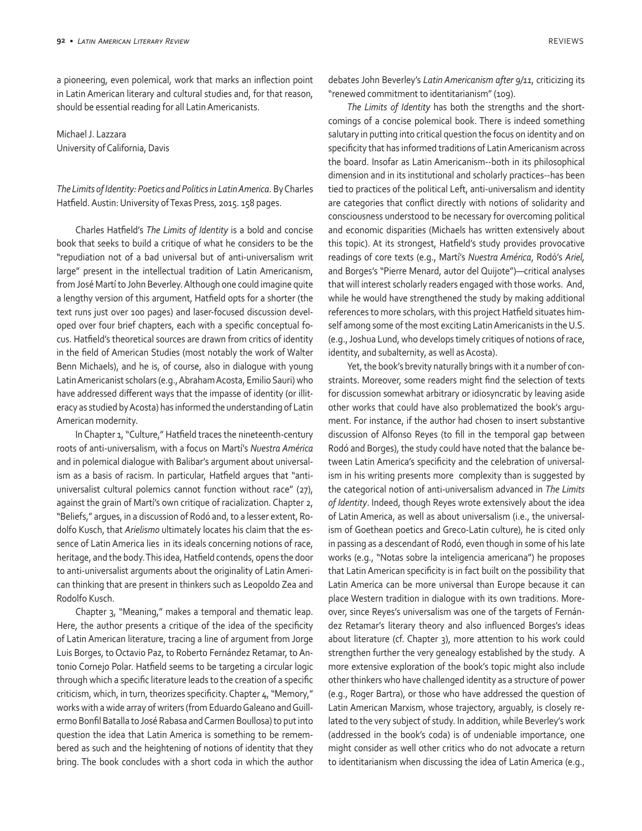a pioneering, even polemical, work that marks an inflection point in Latin American literary and cultural studies and, for that reason, should be essential reading for all Latin Americanists.

Michael J. Lazzara University of California, Davis

*The Limits of Identity: Poetics and Politics in Latin America.* By Charles Hatfield. Austin: University of Texas Press, 2015. 158 pages.

Charles Hatfield's *The Limits of Identity* is a bold and concise book that seeks to build a critique of what he considers to be the "repudiation not of a bad universal but of anti-universalism writ large" present in the intellectual tradition of Latin Americanism, from José Martí to John Beverley. Although one could imagine quite a lengthy version of this argument, Hatfield opts for a shorter (the text runs just over 100 pages) and laser-focused discussion developed over four brief chapters, each with a specific conceptual focus. Hatfield's theoretical sources are drawn from critics of identity in the field of American Studies (most notably the work of Walter Benn Michaels), and he is, of course, also in dialogue with young Latin Americanist scholars (e.g., Abraham Acosta, Emilio Sauri) who have addressed different ways that the impasse of identity (or illiteracy as studied by Acosta) has informed the understanding of Latin American modernity.

In Chapter 1, "Culture," Hatfield traces the nineteenth-century roots of anti-universalism, with a focus on Martí's *Nuestra América* and in polemical dialogue with Balibar's argument about universalism as a basis of racism. In particular, Hatfield argues that "antiuniversalist cultural polemics cannot function without race" (27), against the grain of Martí's own critique of racialization. Chapter 2, "Beliefs," argues, in a discussion of Rodó and, to a lesser extent, Rodolfo Kusch, that *Arielismo* ultimately locates his claim that the essence of Latin America lies in its ideals concerning notions of race, heritage, and the body. This idea, Hatfield contends, opens the door to anti-universalist arguments about the originality of Latin American thinking that are present in thinkers such as Leopoldo Zea and Rodolfo Kusch.

Chapter 3, "Meaning," makes a temporal and thematic leap. Here, the author presents a critique of the idea of the specificity of Latin American literature, tracing a line of argument from Jorge Luis Borges, to Octavio Paz, to Roberto Fernández Retamar, to Antonio Cornejo Polar. Hatfield seems to be targeting a circular logic through which a specific literature leads to the creation of a specific criticism, which, in turn, theorizes specificity. Chapter 4, "Memory," works with a wide array of writers (from Eduardo Galeano and Guillermo Bonfil Batalla to José Rabasa and Carmen Boullosa) to put into question the idea that Latin America is something to be remembered as such and the heightening of notions of identity that they bring. The book concludes with a short coda in which the author

debates John Beverley's *Latin Americanism after 9/11*, criticizing its "renewed commitment to identitarianism" (109).

*The Limits of Identity* has both the strengths and the shortcomings of a concise polemical book. There is indeed something salutary in putting into critical question the focus on identity and on specificity that has informed traditions of Latin Americanism across the board. Insofar as Latin Americanism--both in its philosophical dimension and in its institutional and scholarly practices--has been tied to practices of the political Left, anti-universalism and identity are categories that conflict directly with notions of solidarity and consciousness understood to be necessary for overcoming political and economic disparities (Michaels has written extensively about this topic). At its strongest, Hatfield's study provides provocative readings of core texts (e.g., Martí's *Nuestra América*, Rodó's *Ariel,* and Borges's "Pierre Menard, autor del Quijote")—critical analyses that will interest scholarly readers engaged with those works. And, while he would have strengthened the study by making additional references to more scholars, with this project Hatfield situates himself among some of the most exciting Latin Americanists in the U.S. (e.g., Joshua Lund, who develops timely critiques of notions of race, identity, and subalternity, as well as Acosta).

Yet, the book's brevity naturally brings with it a number of constraints. Moreover, some readers might find the selection of texts for discussion somewhat arbitrary or idiosyncratic by leaving aside other works that could have also problematized the book's argument. For instance, if the author had chosen to insert substantive discussion of Alfonso Reyes (to fill in the temporal gap between Rodó and Borges), the study could have noted that the balance between Latin America's specificity and the celebration of universalism in his writing presents more complexity than is suggested by the categorical notion of anti-universalism advanced in *The Limits of Identity*. Indeed, though Reyes wrote extensively about the idea of Latin America, as well as about universalism (i.e., the universalism of Goethean poetics and Greco-Latin culture), he is cited only in passing as a descendant of Rodó, even though in some of his late works (e.g., "Notas sobre la inteligencia americana") he proposes that Latin American specificity is in fact built on the possibility that Latin America can be more universal than Europe because it can place Western tradition in dialogue with its own traditions. Moreover, since Reyes's universalism was one of the targets of Fernández Retamar's literary theory and also influenced Borges's ideas about literature (cf. Chapter 3), more attention to his work could strengthen further the very genealogy established by the study. A more extensive exploration of the book's topic might also include other thinkers who have challenged identity as a structure of power (e.g., Roger Bartra), or those who have addressed the question of Latin American Marxism, whose trajectory, arguably, is closely related to the very subject of study. In addition, while Beverley's work (addressed in the book's coda) is of undeniable importance, one might consider as well other critics who do not advocate a return to identitarianism when discussing the idea of Latin America (e.g.,